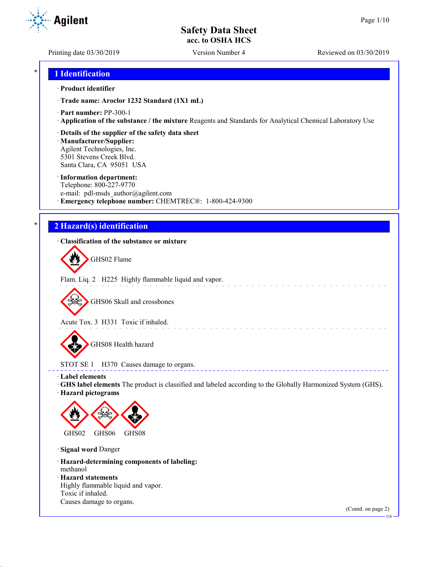**Agilent** 

Printing date 03/30/2019 Version Number 4 Reviewed on 03/30/2019

## \* **1 Identification**

#### · **Product identifier**

· **Trade name: Aroclor 1232 Standard (1X1 mL)**

- · **Part number:** PP-300-1
- · **Application of the substance / the mixture** Reagents and Standards for Analytical Chemical Laboratory Use

#### · **Details of the supplier of the safety data sheet**

· **Manufacturer/Supplier:** Agilent Technologies, Inc. 5301 Stevens Creek Blvd. Santa Clara, CA 95051 USA

#### · **Information department:**

Telephone: 800-227-9770 e-mail: pdl-msds author@agilent.com · **Emergency telephone number:** CHEMTREC®: 1-800-424-9300

## \* **2 Hazard(s) identification**

#### · **Classification of the substance or mixture**

GHS02 Flame

Flam. Liq. 2 H225 Highly flammable liquid and vapor.

GHS06 Skull and crossbones

Acute Tox. 3 H331 Toxic if inhaled.

GHS08 Health hazard

# STOT SE 1 H370 Causes damage to organs.

· **Label elements**

· **GHS label elements** The product is classified and labeled according to the Globally Harmonized System (GHS).

and the state of the state of the

**ELECT** 

· **Hazard pictograms**



· **Signal word** Danger

· **Hazard-determining components of labeling:** methanol

· **Hazard statements**

Highly flammable liquid and vapor. Toxic if inhaled. Causes damage to organs.

(Contd. on page 2)

US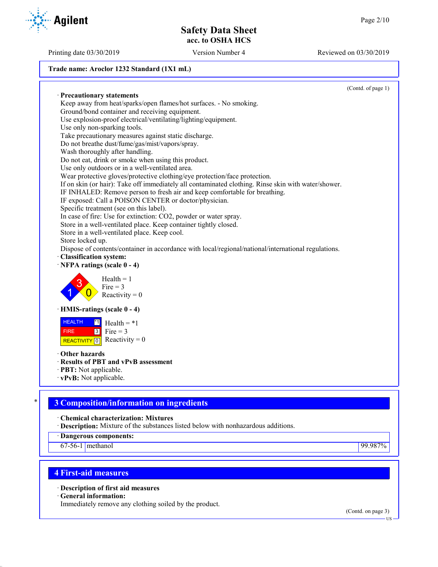#### **Trade name: Aroclor 1232 Standard (1X1 mL)**

(Contd. of page 1) · **Precautionary statements** Keep away from heat/sparks/open flames/hot surfaces. - No smoking. Ground/bond container and receiving equipment. Use explosion-proof electrical/ventilating/lighting/equipment. Use only non-sparking tools. Take precautionary measures against static discharge. Do not breathe dust/fume/gas/mist/vapors/spray. Wash thoroughly after handling. Do not eat, drink or smoke when using this product. Use only outdoors or in a well-ventilated area. Wear protective gloves/protective clothing/eye protection/face protection. If on skin (or hair): Take off immediately all contaminated clothing. Rinse skin with water/shower. IF INHALED: Remove person to fresh air and keep comfortable for breathing. IF exposed: Call a POISON CENTER or doctor/physician. Specific treatment (see on this label). In case of fire: Use for extinction: CO2, powder or water spray. Store in a well-ventilated place. Keep container tightly closed. Store in a well-ventilated place. Keep cool. Store locked up. Dispose of contents/container in accordance with local/regional/national/international regulations. · **Classification system:** · **NFPA ratings (scale 0 - 4)** 1 3  $\overline{0}$  $Health = 1$  $Fire = 3$ Reactivity  $= 0$ · **HMIS-ratings (scale 0 - 4)** HEALTH FIRE REACTIVITY  $\boxed{0}$  Reactivity = 0  $\overline{1}$  Health = \*1  $3$  Fire = 3 · **Other hazards** · **Results of PBT and vPvB assessment** · **PBT:** Not applicable. · **vPvB:** Not applicable.

# \* **3 Composition/information on ingredients**

· **Chemical characterization: Mixtures**

· **Description:** Mixture of the substances listed below with nonhazardous additions.

· **Dangerous components:**

67-56-1 methanol 99.987%

# **4 First-aid measures**

· **Description of first aid measures**

· **General information:**

Immediately remove any clothing soiled by the product.

(Contd. on page 3)



Printing date 03/30/2019 Version Number 4 Reviewed on 03/30/2019

US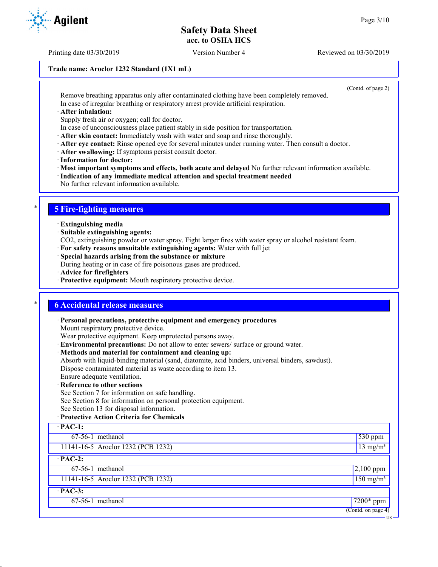Printing date 03/30/2019 Version Number 4 Reviewed on 03/30/2019

#### **Trade name: Aroclor 1232 Standard (1X1 mL)**

(Contd. of page 2)

Remove breathing apparatus only after contaminated clothing have been completely removed. In case of irregular breathing or respiratory arrest provide artificial respiration.

· **After inhalation:**

Supply fresh air or oxygen; call for doctor.

In case of unconsciousness place patient stably in side position for transportation.

· **After skin contact:** Immediately wash with water and soap and rinse thoroughly.

- · **After eye contact:** Rinse opened eye for several minutes under running water. Then consult a doctor.
- · **After swallowing:** If symptoms persist consult doctor.
- · **Information for doctor:**

· **Most important symptoms and effects, both acute and delayed** No further relevant information available.

· **Indication of any immediate medical attention and special treatment needed**

No further relevant information available.

## \* **5 Fire-fighting measures**

- · **Extinguishing media**
- · **Suitable extinguishing agents:**

CO2, extinguishing powder or water spray. Fight larger fires with water spray or alcohol resistant foam.

- · **For safety reasons unsuitable extinguishing agents:** Water with full jet
- · **Special hazards arising from the substance or mixture**

During heating or in case of fire poisonous gases are produced.

- · **Advice for firefighters**
- · **Protective equipment:** Mouth respiratory protective device.

## \* **6 Accidental release measures**

· **Personal precautions, protective equipment and emergency procedures**

Mount respiratory protective device.

Wear protective equipment. Keep unprotected persons away.

- · **Environmental precautions:** Do not allow to enter sewers/ surface or ground water.
- · **Methods and material for containment and cleaning up:**

Absorb with liquid-binding material (sand, diatomite, acid binders, universal binders, sawdust). Dispose contaminated material as waste according to item 13.

#### Ensure adequate ventilation. · **Reference to other sections**

See Section 7 for information on safe handling.

See Section 8 for information on personal protection equipment.

See Section 13 for disposal information.

#### · **Protective Action Criteria for Chemicals**

| $\cdot$ PAC-1: |                                    |                        |
|----------------|------------------------------------|------------------------|
|                | $67-56-1$ methanol                 | $530$ ppm              |
|                | 11141-16-5 Aroclor 1232 (PCB 1232) | $13$ mg/m <sup>3</sup> |
| $\cdot$ PAC-2: |                                    |                        |
|                | $67-56-1$ methanol                 | $2,100$ ppm            |
|                | 11141-16-5 Aroclor 1232 (PCB 1232) | $150 \text{ mg/m}^3$   |
| $\cdot$ PAC-3: |                                    |                        |
|                | $67-56-1$ methanol                 | $7200*$ ppm            |
|                |                                    | (Contd. on page 4)     |
|                |                                    | $-$ US $\cdot$         |

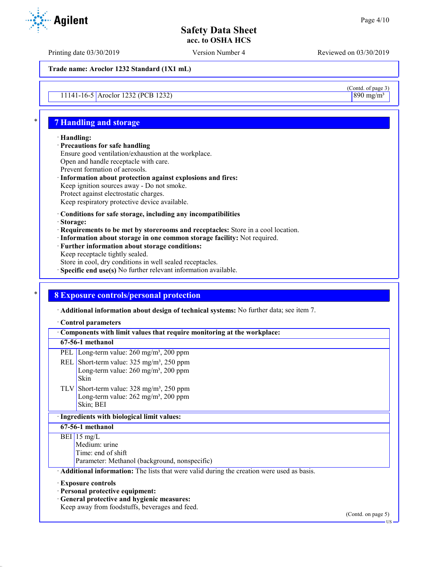Printing date 03/30/2019 Version Number 4 Reviewed on 03/30/2019

**Trade name: Aroclor 1232 Standard (1X1 mL)**

11141-16-5 Aroclor 1232 (PCB 1232)

## \* **7 Handling and storage**

#### · **Handling:**

- · **Precautions for safe handling** Ensure good ventilation/exhaustion at the workplace. Open and handle receptacle with care. Prevent formation of aerosols. · **Information about protection against explosions and fires:**
- Keep ignition sources away Do not smoke. Protect against electrostatic charges. Keep respiratory protective device available.

#### · **Conditions for safe storage, including any incompatibilities**

- · **Storage:**
- · **Requirements to be met by storerooms and receptacles:** Store in a cool location.
- · **Information about storage in one common storage facility:** Not required.
- · **Further information about storage conditions:**
- Keep receptacle tightly sealed.
- Store in cool, dry conditions in well sealed receptacles.
- · **Specific end use(s)** No further relevant information available.

## \* **8 Exposure controls/personal protection**

· **Additional information about design of technical systems:** No further data; see item 7.

#### · **Control parameters**

| Components with limit values that require monitoring at the workplace: |                                                                                                                                                               |                    |
|------------------------------------------------------------------------|---------------------------------------------------------------------------------------------------------------------------------------------------------------|--------------------|
|                                                                        | 67-56-1 methanol                                                                                                                                              |                    |
|                                                                        | PEL Long-term value: $260 \text{ mg/m}^3$ , $200 \text{ ppm}$                                                                                                 |                    |
|                                                                        | REL Short-term value: $325 \text{ mg/m}^3$ , $250 \text{ ppm}$<br>Long-term value: $260 \text{ mg/m}^3$ , $200 \text{ ppm}$<br>Skin                           |                    |
|                                                                        | TLV Short-term value: $328 \text{ mg/m}^3$ , $250 \text{ ppm}$<br>Long-term value: 262 mg/m <sup>3</sup> , 200 ppm<br>Skin; BEI                               |                    |
|                                                                        | · Ingredients with biological limit values:                                                                                                                   |                    |
|                                                                        | 67-56-1 methanol                                                                                                                                              |                    |
|                                                                        | BEI 15 mg/L<br>Medium: urine<br>Time: end of shift<br>Parameter: Methanol (background, nonspecific)                                                           |                    |
|                                                                        | Additional information: The lists that were valid during the creation were used as basis.                                                                     |                    |
|                                                                        | <b>Exposure controls</b><br>· Personal protective equipment:<br>· General protective and hygienic measures:<br>Keep away from foodstuffs, beverages and feed. | (Contd. on page 5) |

 $\frac{\text{(Contd. of page 3)}}{\text{890 mg/m}^3}$ 

US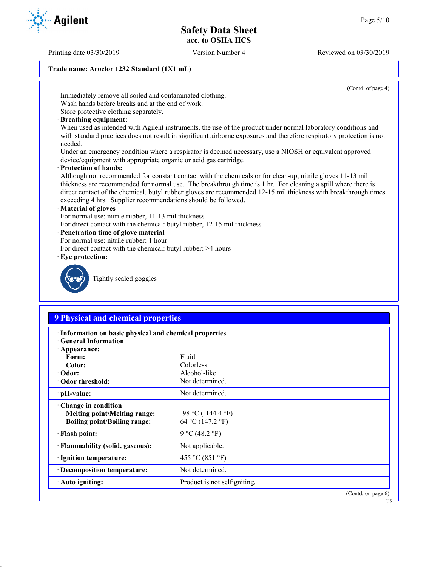Printing date 03/30/2019 Version Number 4 Reviewed on 03/30/2019

#### **Trade name: Aroclor 1232 Standard (1X1 mL)**

(Contd. of page 4)

Immediately remove all soiled and contaminated clothing.

Wash hands before breaks and at the end of work. Store protective clothing separately.

· **Breathing equipment:**

When used as intended with Agilent instruments, the use of the product under normal laboratory conditions and with standard practices does not result in significant airborne exposures and therefore respiratory protection is not needed.

Under an emergency condition where a respirator is deemed necessary, use a NIOSH or equivalent approved device/equipment with appropriate organic or acid gas cartridge.

· **Protection of hands:**

Although not recommended for constant contact with the chemicals or for clean-up, nitrile gloves 11-13 mil thickness are recommended for normal use. The breakthrough time is 1 hr. For cleaning a spill where there is direct contact of the chemical, butyl rubber gloves are recommended 12-15 mil thickness with breakthrough times exceeding 4 hrs. Supplier recommendations should be followed.

#### · **Material of gloves**

For normal use: nitrile rubber, 11-13 mil thickness

- For direct contact with the chemical: butyl rubber, 12-15 mil thickness
- · **Penetration time of glove material**
- For normal use: nitrile rubber: 1 hour
- For direct contact with the chemical: butyl rubber: >4 hours
- · **Eye protection:**



Tightly sealed goggles

## **9 Physical and chemical properties**

| · Information on basic physical and chemical properties<br><b>Ceneral Information</b>                     |                                             |  |
|-----------------------------------------------------------------------------------------------------------|---------------------------------------------|--|
| $\cdot$ Appearance:<br>Form:                                                                              | Fluid                                       |  |
| Color:                                                                                                    | Colorless                                   |  |
| $\cdot$ Odor:                                                                                             | Alcohol-like                                |  |
|                                                                                                           |                                             |  |
| Odor threshold:                                                                                           | Not determined.                             |  |
| · pH-value:                                                                                               | Not determined.                             |  |
| $\cdot$ Change in condition<br><b>Melting point/Melting range:</b><br><b>Boiling point/Boiling range:</b> | $-98$ °C ( $-144.4$ °F)<br>64 °C (147.2 °F) |  |
| $\cdot$ Flash point:                                                                                      | 9 °C (48.2 °F)                              |  |
| · Flammability (solid, gaseous):                                                                          | Not applicable.                             |  |
| · Ignition temperature:                                                                                   | 455 °C (851 °F)                             |  |
| · Decomposition temperature:                                                                              | Not determined.                             |  |
| · Auto igniting:                                                                                          | Product is not selfigniting.                |  |
|                                                                                                           | $(Contd)$ on page 6)                        |  |

(Contd. on pag US

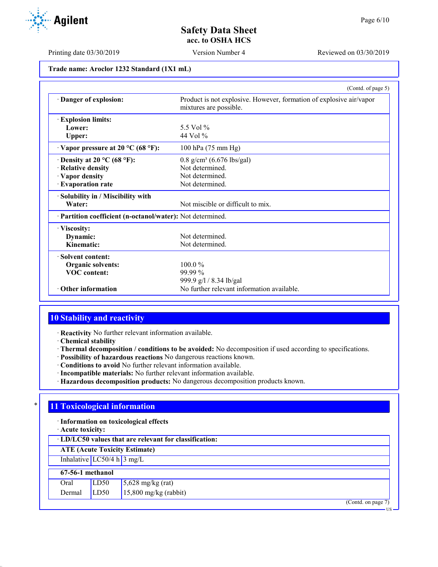Printing date 03/30/2019 Version Number 4 Reviewed on 03/30/2019

| Trade name: Aroclor 1232 Standard (1X1 mL) |  |  |
|--------------------------------------------|--|--|
|--------------------------------------------|--|--|

|                                                            | (Contd. of page 5)                                                                            |
|------------------------------------------------------------|-----------------------------------------------------------------------------------------------|
| Danger of explosion:                                       | Product is not explosive. However, formation of explosive air/vapor<br>mixtures are possible. |
| <b>Explosion limits:</b>                                   |                                                                                               |
| Lower:                                                     | 5.5 Vol $%$                                                                                   |
| Upper:                                                     | 44 Vol $%$                                                                                    |
| $\cdot$ Vapor pressure at 20 °C (68 °F):                   | 100 hPa (75 mm Hg)                                                                            |
| $\cdot$ Density at 20 °C (68 °F):                          | $0.8$ g/cm <sup>3</sup> (6.676 lbs/gal)                                                       |
| · Relative density                                         | Not determined.                                                                               |
| · Vapor density                                            | Not determined.                                                                               |
| · Evaporation rate                                         | Not determined.                                                                               |
| · Solubility in / Miscibility with                         |                                                                                               |
| Water:                                                     | Not miscible or difficult to mix.                                                             |
| · Partition coefficient (n-octanol/water): Not determined. |                                                                                               |
| · Viscosity:                                               |                                                                                               |
| Dynamic:                                                   | Not determined.                                                                               |
| Kinematic:                                                 | Not determined.                                                                               |
| · Solvent content:                                         |                                                                                               |
| <b>Organic solvents:</b>                                   | $100.0\%$                                                                                     |
| <b>VOC</b> content:                                        | 99.99 %                                                                                       |
|                                                            | 999.9 g/l / 8.34 lb/gal                                                                       |
| $\cdot$ Other information                                  | No further relevant information available.                                                    |

# **10 Stability and reactivity**

· **Reactivity** No further relevant information available.

· **Chemical stability**

- · **Thermal decomposition / conditions to be avoided:** No decomposition if used according to specifications.
- · **Possibility of hazardous reactions** No dangerous reactions known.
- · **Conditions to avoid** No further relevant information available.
- · **Incompatible materials:** No further relevant information available.
- · **Hazardous decomposition products:** No dangerous decomposition products known.

## **11 Toxicological information**

· **Information on toxicological effects**

· **Acute toxicity:**

**ATE (Acute Toxicity Estimate)**

Inhalative  $LC50/4$  h  $3$  mg/L

#### **67-56-1 methanol** Oral  $LD50$  5,628 mg/kg (rat)

| viai        | ∣∟∟∪ | $\frac{1}{2}$ ,020 ing/kg (iai) |
|-------------|------|---------------------------------|
| Dermal LD50 |      | $15,800$ mg/kg (rabbit)         |

(Contd. on page 7)



US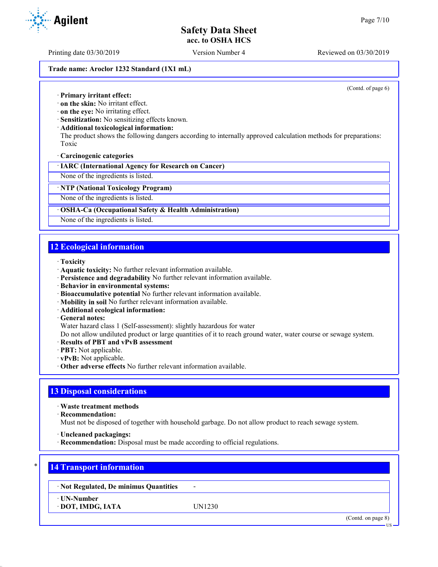Printing date 03/30/2019 Version Number 4 Reviewed on 03/30/2019

#### **Trade name: Aroclor 1232 Standard (1X1 mL)**

(Contd. of page 6)

· **Primary irritant effect:**

· **on the skin:** No irritant effect.

· **on the eye:** No irritating effect.

· **Sensitization:** No sensitizing effects known.

· **Additional toxicological information:**

The product shows the following dangers according to internally approved calculation methods for preparations: Toxic

· **Carcinogenic categories**

· **IARC (International Agency for Research on Cancer)**

None of the ingredients is listed.

· **NTP (National Toxicology Program)**

None of the ingredients is listed.

#### · **OSHA-Ca (Occupational Safety & Health Administration)**

None of the ingredients is listed.

## **12 Ecological information**

- · **Toxicity**
- · **Aquatic toxicity:** No further relevant information available.
- · **Persistence and degradability** No further relevant information available.
- · **Behavior in environmental systems:**
- · **Bioaccumulative potential** No further relevant information available.
- · **Mobility in soil** No further relevant information available.
- · **Additional ecological information:**
- · **General notes:**

Water hazard class 1 (Self-assessment): slightly hazardous for water

Do not allow undiluted product or large quantities of it to reach ground water, water course or sewage system.

- · **Results of PBT and vPvB assessment**
- · **PBT:** Not applicable.
- · **vPvB:** Not applicable.
- · **Other adverse effects** No further relevant information available.

## **13 Disposal considerations**

· **Waste treatment methods**

· **Recommendation:**

Must not be disposed of together with household garbage. Do not allow product to reach sewage system.

- · **Uncleaned packagings:**
- · **Recommendation:** Disposal must be made according to official regulations.

## \* **14 Transport information**

· **Not Regulated, De minimus Quantities** -

· **UN-Number**

· **DOT, IMDG, IATA** UN1230

(Contd. on page 8)

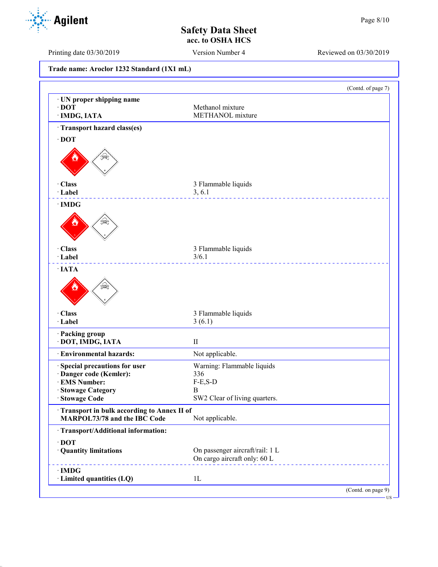(Contd. of page 7)

## **Safety Data Sheet acc. to OSHA HCS**

Printing date 03/30/2019 Version Number 4 Reviewed on 03/30/2019

· **UN proper shipping name** · **DOT** Methanol mixture · **IMDG, IATA** METHANOL mixture · **Transport hazard class(es)** · **DOT** · **Class** 3 Flammable liquids · **Label** 3, 6.1 <u>\_\_\_\_\_\_\_\_\_\_\_\_\_\_\_</u> · **IMDG** · **Class** 3 Flammable liquids · **Label** 3/6.1 \_\_\_\_\_\_\_\_\_\_\_\_\_ · **IATA** · **Class** 3 Flammable liquids · **Label** 3 (6.1) · **Packing group** · **DOT, IMDG, IATA** II · **Environmental hazards:** Not applicable. · **Special precautions for user** Warning: Flammable liquids · **Danger code (Kemler):** 336  $\cdot$  **EMS Number:** · **Stowage Category** B SW2 Clear of living quarters. · **Transport in bulk according to Annex II of**

**MARPOL73/78 and the IBC Code** Not applicable.

· **Quantity limitations** On passenger aircraft/rail: 1 L

On cargo aircraft only: 60 L

· **Transport/Additional information:**

· **Limited quantities (LQ)** 1L

· **DOT**

· **IMDG**

**Trade name: Aroclor 1232 Standard (1X1 mL)**

**Agilent** 

(Contd. on page 9) US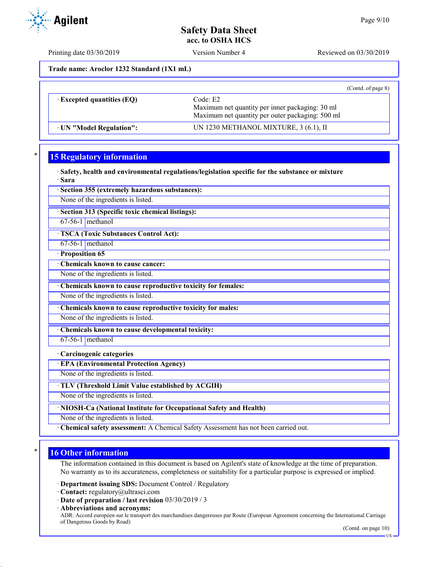Printing date 03/30/2019 Version Number 4 Reviewed on 03/30/2019

**Trade name: Aroclor 1232 Standard (1X1 mL)**

|                                  | (Cond. of page 8)                                                                                               |
|----------------------------------|-----------------------------------------------------------------------------------------------------------------|
| $\cdot$ Excepted quantities (EQ) | Code: E2<br>Maximum net quantity per inner packaging: 30 ml<br>Maximum net quantity per outer packaging: 500 ml |
| UN "Model Regulation":           | UN 1230 METHANOL MIXTURE, 3 (6.1), II                                                                           |

# **15 Regulatory information**

· **Safety, health and environmental regulations/legislation specific for the substance or mixture** · **Sara**

· **Section 355 (extremely hazardous substances):**

None of the ingredients is listed.

· **Section 313 (Specific toxic chemical listings):**

67-56-1 methanol

· **TSCA (Toxic Substances Control Act):**

67-56-1 methanol

· **Proposition 65** · **Chemicals known to cause cancer:**

None of the ingredients is listed.

· **Chemicals known to cause reproductive toxicity for females:**

None of the ingredients is listed.

· **Chemicals known to cause reproductive toxicity for males:**

None of the ingredients is listed.

· **Chemicals known to cause developmental toxicity:**

 $67-56-1$  methanol

#### · **Carcinogenic categories**

· **EPA (Environmental Protection Agency)**

None of the ingredients is listed.

· **TLV (Threshold Limit Value established by ACGIH)**

None of the ingredients is listed.

· **NIOSH-Ca (National Institute for Occupational Safety and Health)**

None of the ingredients is listed.

· **Chemical safety assessment:** A Chemical Safety Assessment has not been carried out.

## **16 Other information**

The information contained in this document is based on Agilent's state of knowledge at the time of preparation. No warranty as to its accurateness, completeness or suitability for a particular purpose is expressed or implied.

· **Department issuing SDS:** Document Control / Regulatory

- · **Contact:** regulatory@ultrasci.com
- · **Date of preparation / last revision** 03/30/2019 / 3

· **Abbreviations and acronyms:** ADR: Accord européen sur le transport des marchandises dangereuses par Route (European Agreement concerning the International Carriage of Dangerous Goods by Road)